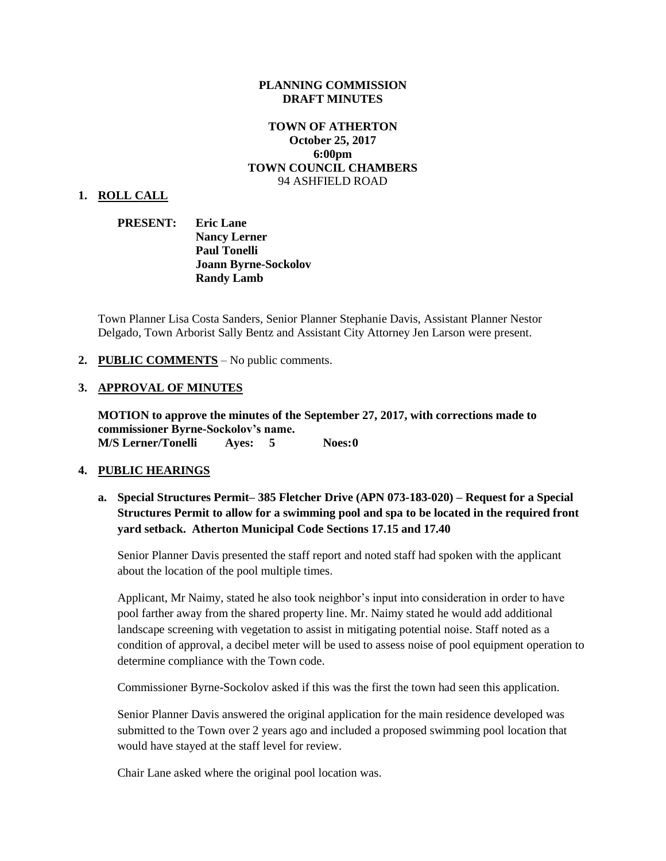#### **PLANNING COMMISSION DRAFT MINUTES**

#### **TOWN OF ATHERTON October 25, 2017 6:00pm TOWN COUNCIL CHAMBERS** 94 ASHFIELD ROAD

#### **1. ROLL CALL**

**PRESENT: Eric Lane Nancy Lerner Paul Tonelli Joann Byrne-Sockolov Randy Lamb**

Town Planner Lisa Costa Sanders, Senior Planner Stephanie Davis, Assistant Planner Nestor Delgado, Town Arborist Sally Bentz and Assistant City Attorney Jen Larson were present.

#### **2. PUBLIC COMMENTS** – No public comments.

#### **3. APPROVAL OF MINUTES**

**MOTION to approve the minutes of the September 27, 2017, with corrections made to commissioner Byrne-Sockolov's name. M/S Lerner/Tonelli Ayes: 5 Noes:0**

#### **4. PUBLIC HEARINGS**

# **a. Special Structures Permit– 385 Fletcher Drive (APN 073-183-020) – Request for a Special Structures Permit to allow for a swimming pool and spa to be located in the required front yard setback. Atherton Municipal Code Sections 17.15 and 17.40**

Senior Planner Davis presented the staff report and noted staff had spoken with the applicant about the location of the pool multiple times.

Applicant, Mr Naimy, stated he also took neighbor's input into consideration in order to have pool farther away from the shared property line. Mr. Naimy stated he would add additional landscape screening with vegetation to assist in mitigating potential noise. Staff noted as a condition of approval, a decibel meter will be used to assess noise of pool equipment operation to determine compliance with the Town code.

Commissioner Byrne-Sockolov asked if this was the first the town had seen this application.

Senior Planner Davis answered the original application for the main residence developed was submitted to the Town over 2 years ago and included a proposed swimming pool location that would have stayed at the staff level for review.

Chair Lane asked where the original pool location was.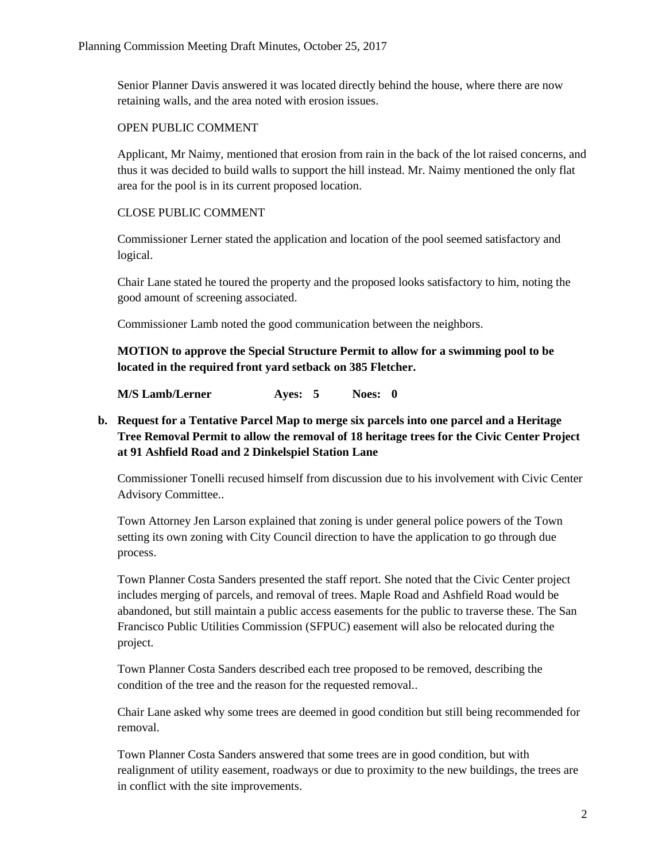Senior Planner Davis answered it was located directly behind the house, where there are now retaining walls, and the area noted with erosion issues.

### OPEN PUBLIC COMMENT

Applicant, Mr Naimy, mentioned that erosion from rain in the back of the lot raised concerns, and thus it was decided to build walls to support the hill instead. Mr. Naimy mentioned the only flat area for the pool is in its current proposed location.

## CLOSE PUBLIC COMMENT

Commissioner Lerner stated the application and location of the pool seemed satisfactory and logical.

Chair Lane stated he toured the property and the proposed looks satisfactory to him, noting the good amount of screening associated.

Commissioner Lamb noted the good communication between the neighbors.

**MOTION to approve the Special Structure Permit to allow for a swimming pool to be located in the required front yard setback on 385 Fletcher.**

**M/S Lamb/Lerner Ayes: 5 Noes: 0**

# **b. Request for a Tentative Parcel Map to merge six parcels into one parcel and a Heritage Tree Removal Permit to allow the removal of 18 heritage trees for the Civic Center Project at 91 Ashfield Road and 2 Dinkelspiel Station Lane**

Commissioner Tonelli recused himself from discussion due to his involvement with Civic Center Advisory Committee..

Town Attorney Jen Larson explained that zoning is under general police powers of the Town setting its own zoning with City Council direction to have the application to go through due process.

Town Planner Costa Sanders presented the staff report. She noted that the Civic Center project includes merging of parcels, and removal of trees. Maple Road and Ashfield Road would be abandoned, but still maintain a public access easements for the public to traverse these. The San Francisco Public Utilities Commission (SFPUC) easement will also be relocated during the project.

Town Planner Costa Sanders described each tree proposed to be removed, describing the condition of the tree and the reason for the requested removal..

Chair Lane asked why some trees are deemed in good condition but still being recommended for removal.

Town Planner Costa Sanders answered that some trees are in good condition, but with realignment of utility easement, roadways or due to proximity to the new buildings, the trees are in conflict with the site improvements.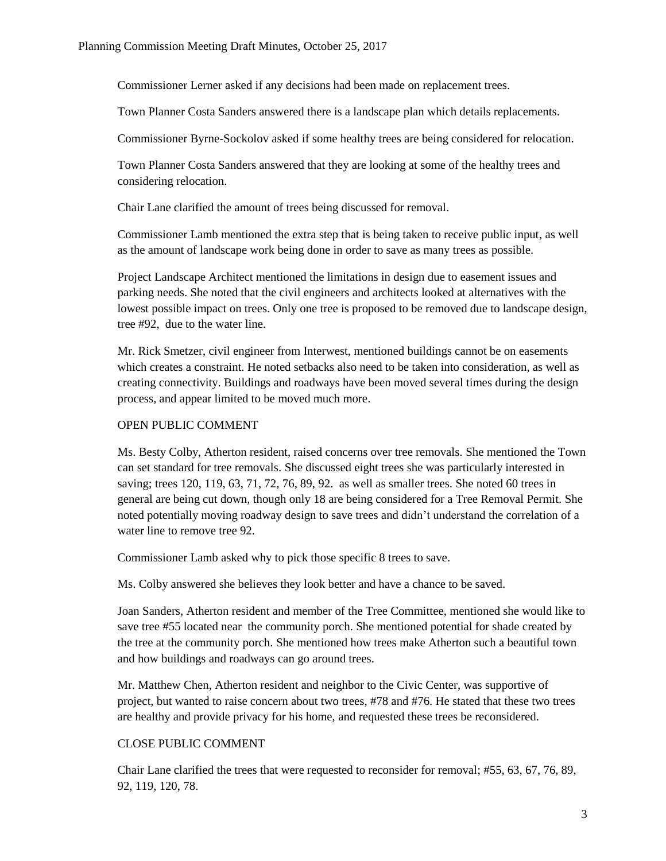Commissioner Lerner asked if any decisions had been made on replacement trees.

Town Planner Costa Sanders answered there is a landscape plan which details replacements.

Commissioner Byrne-Sockolov asked if some healthy trees are being considered for relocation.

Town Planner Costa Sanders answered that they are looking at some of the healthy trees and considering relocation.

Chair Lane clarified the amount of trees being discussed for removal.

Commissioner Lamb mentioned the extra step that is being taken to receive public input, as well as the amount of landscape work being done in order to save as many trees as possible.

Project Landscape Architect mentioned the limitations in design due to easement issues and parking needs. She noted that the civil engineers and architects looked at alternatives with the lowest possible impact on trees. Only one tree is proposed to be removed due to landscape design, tree #92, due to the water line.

Mr. Rick Smetzer, civil engineer from Interwest, mentioned buildings cannot be on easements which creates a constraint. He noted setbacks also need to be taken into consideration, as well as creating connectivity. Buildings and roadways have been moved several times during the design process, and appear limited to be moved much more.

# OPEN PUBLIC COMMENT

Ms. Besty Colby, Atherton resident, raised concerns over tree removals. She mentioned the Town can set standard for tree removals. She discussed eight trees she was particularly interested in saving; trees 120, 119, 63, 71, 72, 76, 89, 92. as well as smaller trees. She noted 60 trees in general are being cut down, though only 18 are being considered for a Tree Removal Permit. She noted potentially moving roadway design to save trees and didn't understand the correlation of a water line to remove tree 92.

Commissioner Lamb asked why to pick those specific 8 trees to save.

Ms. Colby answered she believes they look better and have a chance to be saved.

Joan Sanders, Atherton resident and member of the Tree Committee, mentioned she would like to save tree #55 located near the community porch. She mentioned potential for shade created by the tree at the community porch. She mentioned how trees make Atherton such a beautiful town and how buildings and roadways can go around trees.

Mr. Matthew Chen, Atherton resident and neighbor to the Civic Center, was supportive of project, but wanted to raise concern about two trees, #78 and #76. He stated that these two trees are healthy and provide privacy for his home, and requested these trees be reconsidered.

## CLOSE PUBLIC COMMENT

Chair Lane clarified the trees that were requested to reconsider for removal; #55, 63, 67, 76, 89, 92, 119, 120, 78.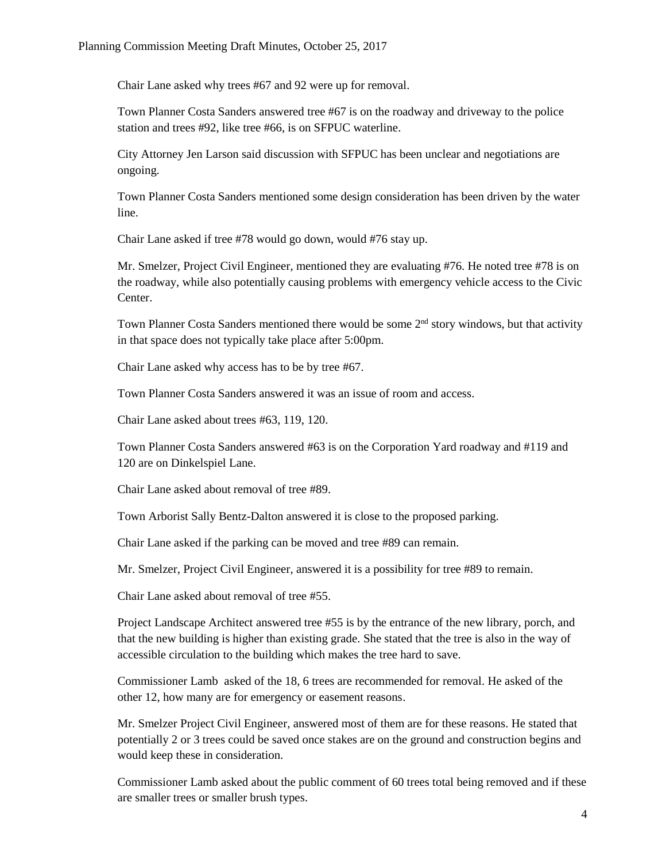Chair Lane asked why trees #67 and 92 were up for removal.

Town Planner Costa Sanders answered tree #67 is on the roadway and driveway to the police station and trees #92, like tree #66, is on SFPUC waterline.

City Attorney Jen Larson said discussion with SFPUC has been unclear and negotiations are ongoing.

Town Planner Costa Sanders mentioned some design consideration has been driven by the water line.

Chair Lane asked if tree #78 would go down, would #76 stay up.

Mr. Smelzer, Project Civil Engineer, mentioned they are evaluating #76. He noted tree #78 is on the roadway, while also potentially causing problems with emergency vehicle access to the Civic Center.

Town Planner Costa Sanders mentioned there would be some 2<sup>nd</sup> story windows, but that activity in that space does not typically take place after 5:00pm.

Chair Lane asked why access has to be by tree #67.

Town Planner Costa Sanders answered it was an issue of room and access.

Chair Lane asked about trees #63, 119, 120.

Town Planner Costa Sanders answered #63 is on the Corporation Yard roadway and #119 and 120 are on Dinkelspiel Lane.

Chair Lane asked about removal of tree #89.

Town Arborist Sally Bentz-Dalton answered it is close to the proposed parking.

Chair Lane asked if the parking can be moved and tree #89 can remain.

Mr. Smelzer, Project Civil Engineer, answered it is a possibility for tree #89 to remain.

Chair Lane asked about removal of tree #55.

Project Landscape Architect answered tree #55 is by the entrance of the new library, porch, and that the new building is higher than existing grade. She stated that the tree is also in the way of accessible circulation to the building which makes the tree hard to save.

Commissioner Lamb asked of the 18, 6 trees are recommended for removal. He asked of the other 12, how many are for emergency or easement reasons.

Mr. Smelzer Project Civil Engineer, answered most of them are for these reasons. He stated that potentially 2 or 3 trees could be saved once stakes are on the ground and construction begins and would keep these in consideration.

Commissioner Lamb asked about the public comment of 60 trees total being removed and if these are smaller trees or smaller brush types.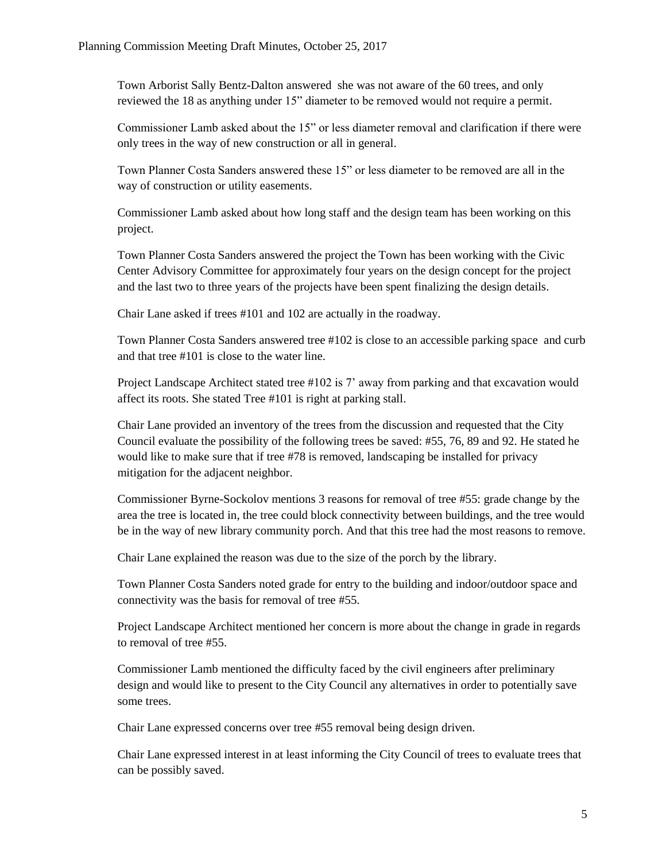Town Arborist Sally Bentz-Dalton answered she was not aware of the 60 trees, and only reviewed the 18 as anything under 15" diameter to be removed would not require a permit.

Commissioner Lamb asked about the 15" or less diameter removal and clarification if there were only trees in the way of new construction or all in general.

Town Planner Costa Sanders answered these 15" or less diameter to be removed are all in the way of construction or utility easements.

Commissioner Lamb asked about how long staff and the design team has been working on this project.

Town Planner Costa Sanders answered the project the Town has been working with the Civic Center Advisory Committee for approximately four years on the design concept for the project and the last two to three years of the projects have been spent finalizing the design details.

Chair Lane asked if trees #101 and 102 are actually in the roadway.

Town Planner Costa Sanders answered tree #102 is close to an accessible parking space and curb and that tree #101 is close to the water line.

Project Landscape Architect stated tree #102 is 7' away from parking and that excavation would affect its roots. She stated Tree #101 is right at parking stall.

Chair Lane provided an inventory of the trees from the discussion and requested that the City Council evaluate the possibility of the following trees be saved: #55, 76, 89 and 92. He stated he would like to make sure that if tree #78 is removed, landscaping be installed for privacy mitigation for the adjacent neighbor.

Commissioner Byrne-Sockolov mentions 3 reasons for removal of tree #55: grade change by the area the tree is located in, the tree could block connectivity between buildings, and the tree would be in the way of new library community porch. And that this tree had the most reasons to remove.

Chair Lane explained the reason was due to the size of the porch by the library.

Town Planner Costa Sanders noted grade for entry to the building and indoor/outdoor space and connectivity was the basis for removal of tree #55.

Project Landscape Architect mentioned her concern is more about the change in grade in regards to removal of tree #55.

Commissioner Lamb mentioned the difficulty faced by the civil engineers after preliminary design and would like to present to the City Council any alternatives in order to potentially save some trees.

Chair Lane expressed concerns over tree #55 removal being design driven.

Chair Lane expressed interest in at least informing the City Council of trees to evaluate trees that can be possibly saved.